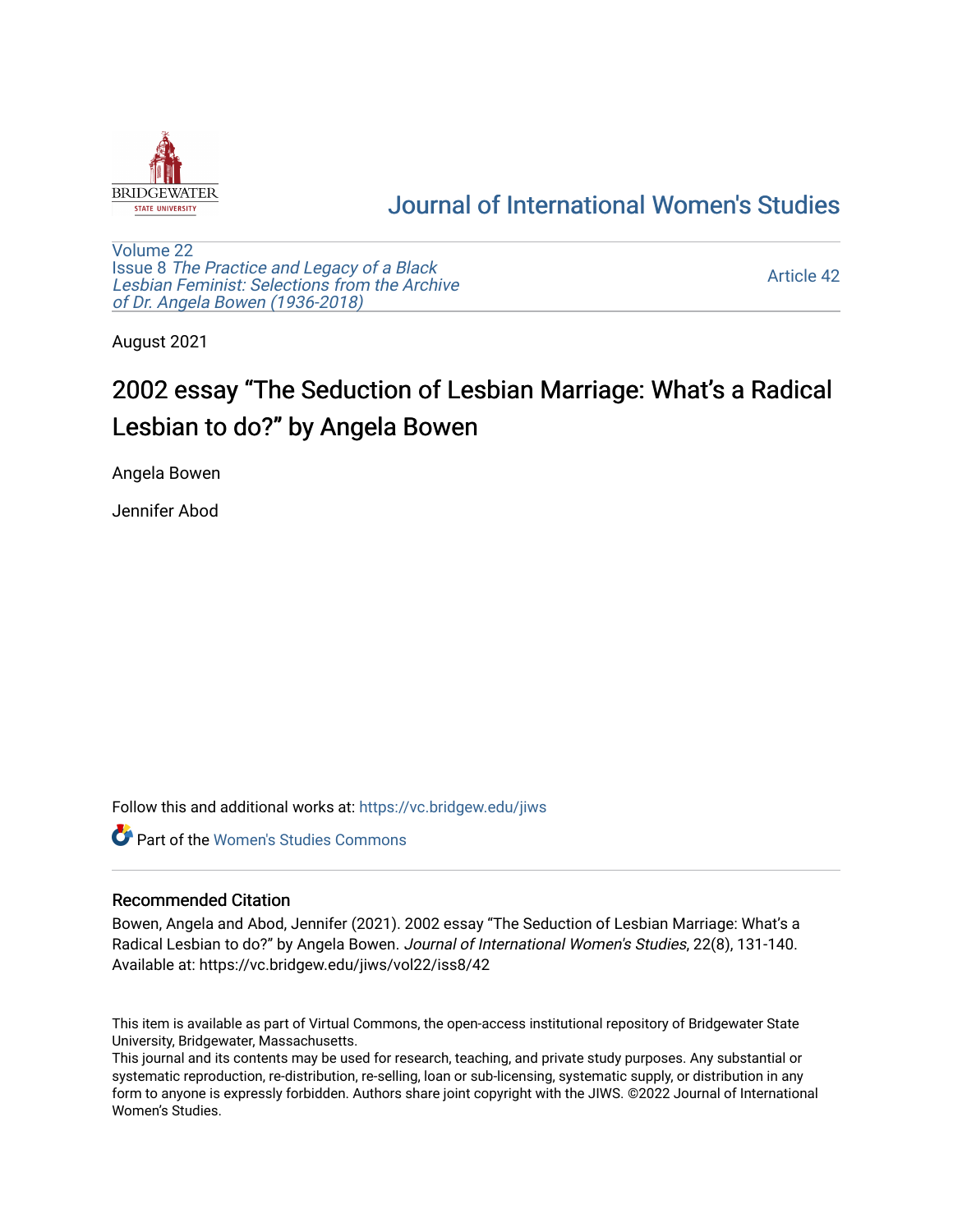

## [Journal of International Women's Studies](https://vc.bridgew.edu/jiws)

[Volume 22](https://vc.bridgew.edu/jiws/vol22) Issue 8 [The Practice and Legacy of a Black](https://vc.bridgew.edu/jiws/vol22/iss8)  [Lesbian Feminist: Selections from the Archive](https://vc.bridgew.edu/jiws/vol22/iss8)  [of Dr. Angela Bowen \(1936-2018\)](https://vc.bridgew.edu/jiws/vol22/iss8)

[Article 42](https://vc.bridgew.edu/jiws/vol22/iss8/42) 

August 2021

# 2002 essay "The Seduction of Lesbian Marriage: What's a Radical Lesbian to do?" by Angela Bowen

Angela Bowen

Jennifer Abod

Follow this and additional works at: [https://vc.bridgew.edu/jiws](https://vc.bridgew.edu/jiws?utm_source=vc.bridgew.edu%2Fjiws%2Fvol22%2Fiss8%2F42&utm_medium=PDF&utm_campaign=PDFCoverPages)

Part of the [Women's Studies Commons](http://network.bepress.com/hgg/discipline/561?utm_source=vc.bridgew.edu%2Fjiws%2Fvol22%2Fiss8%2F42&utm_medium=PDF&utm_campaign=PDFCoverPages) 

#### Recommended Citation

Bowen, Angela and Abod, Jennifer (2021). 2002 essay "The Seduction of Lesbian Marriage: What's a Radical Lesbian to do?" by Angela Bowen. Journal of International Women's Studies, 22(8), 131-140. Available at: https://vc.bridgew.edu/jiws/vol22/iss8/42

This item is available as part of Virtual Commons, the open-access institutional repository of Bridgewater State University, Bridgewater, Massachusetts.

This journal and its contents may be used for research, teaching, and private study purposes. Any substantial or systematic reproduction, re-distribution, re-selling, loan or sub-licensing, systematic supply, or distribution in any form to anyone is expressly forbidden. Authors share joint copyright with the JIWS. ©2022 Journal of International Women's Studies.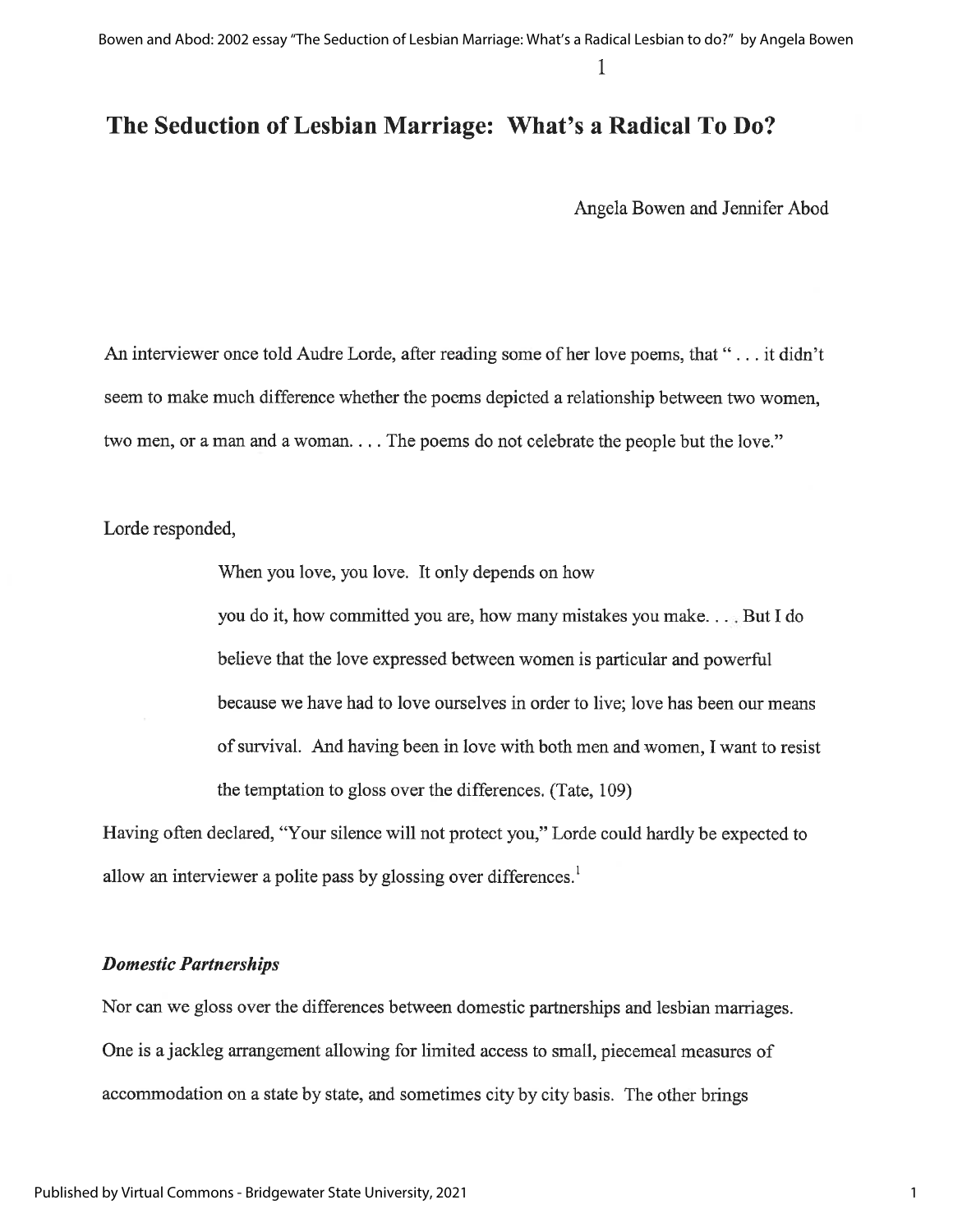### The Seduction of Lesbian Marriage: What's a Radical To Do?

Angela Bowen and Jennifer Abod

An interviewer once told Audre Lorde, after reading some of her love poems, that "... it didn't seem to make much difference whether the poems depicted a relationship between two women, two men, or a man and a woman.... The poems do not celebrate the people but the love."

Lorde responded,

When you love, you love. It only depends on how

you do it, how committed you are, how many mistakes you make... But I do believe that the love expressed between women is particular and powerful because we have had to love ourselves in order to live; love has been our means of survival. And having been in love with both men and women, I want to resist the temptation to gloss over the differences. (Tate, 109)

Having often declared, "Your silence will not protect you," Lorde could hardly be expected to allow an interviewer a polite pass by glossing over differences.<sup>1</sup>

#### **Domestic Partnerships**

Nor can we gloss over the differences between domestic partnerships and lesbian marriages. One is a jackleg arrangement allowing for limited access to small, piecemeal measures of accommodation on a state by state, and sometimes city by city basis. The other brings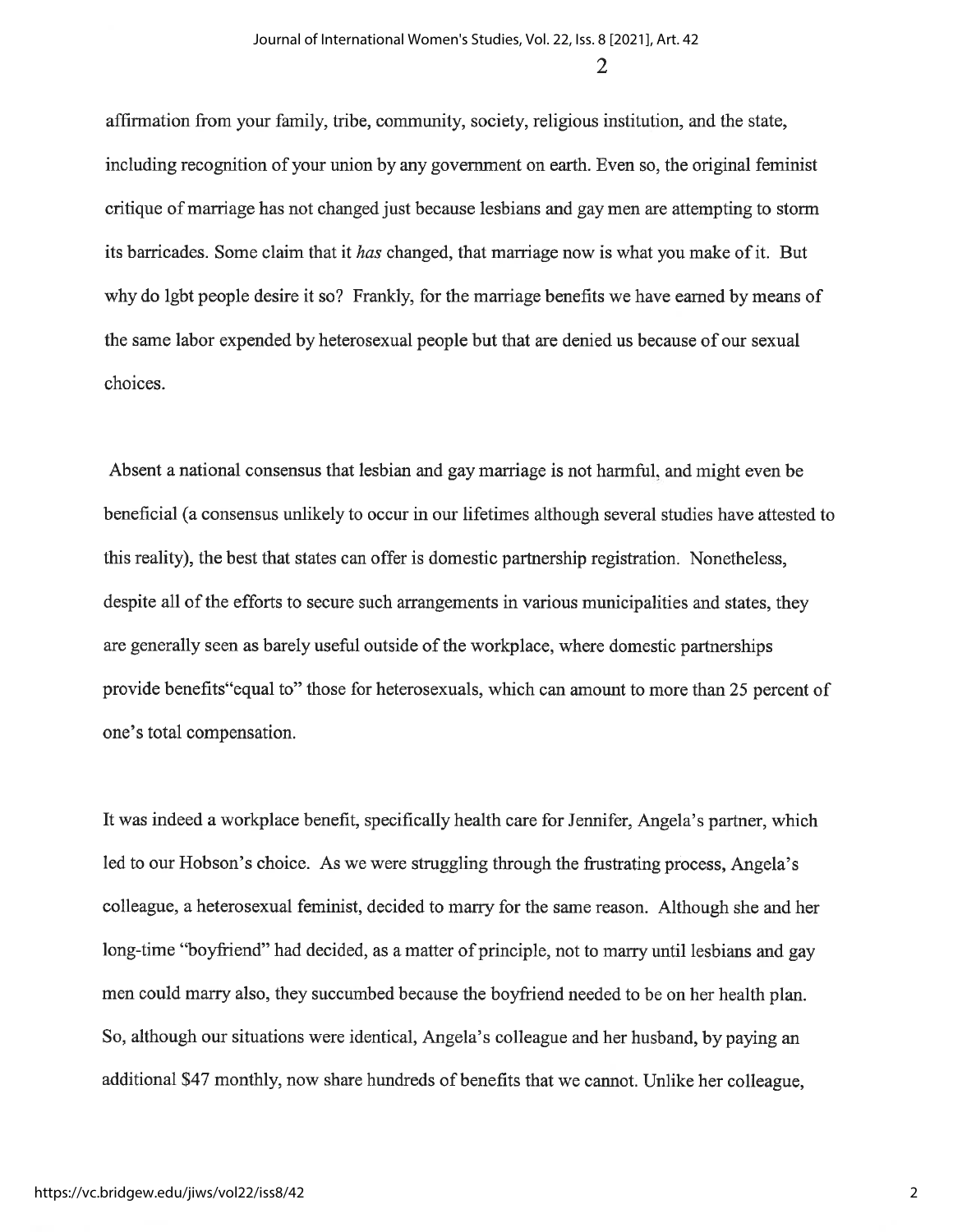2

affirmation from your family, tribe, community, society, religious institution, and the state, including recognition of your union by any government on earth. Even so, the original feminist critique of marriage has not changed just because lesbians and gay men are attempting to storm its barricades. Some claim that it has changed, that marriage now is what you make of it. But why do lgbt people desire it so? Frankly, for the marriage benefits we have earned by means of the same labor expended by heterosexual people but that are denied us because of our sexual choices.

Absent a national consensus that lesbian and gay marriage is not harmful, and might even be beneficial (a consensus unlikely to occur in our lifetimes although several studies have attested to this reality), the best that states can offer is domestic partnership registration. Nonetheless, despite all of the efforts to secure such arrangements in various municipalities and states, they are generally seen as barely useful outside of the workplace, where domestic partnerships provide benefits equal to" those for heterosexuals, which can amount to more than 25 percent of one's total compensation.

It was indeed a workplace benefit, specifically health care for Jennifer, Angela's partner, which led to our Hobson's choice. As we were struggling through the frustrating process, Angela's colleague, a heterosexual feminist, decided to marry for the same reason. Although she and her long-time "boyfriend" had decided, as a matter of principle, not to marry until lesbians and gay men could marry also, they succumbed because the boyfriend needed to be on her health plan. So, although our situations were identical, Angela's colleague and her husband, by paying an additional \$47 monthly, now share hundreds of benefits that we cannot. Unlike her colleague,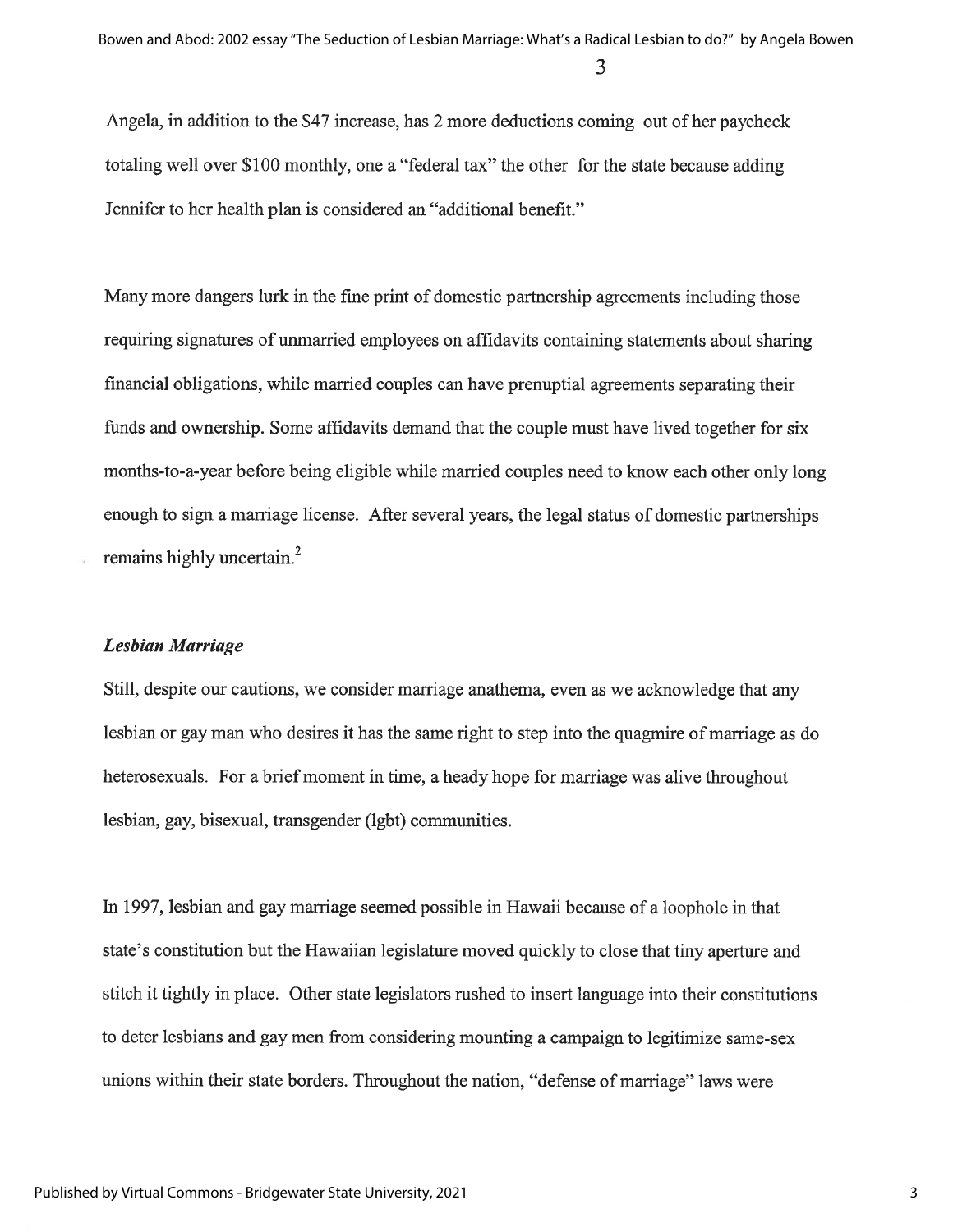Angela, in addition to the \$47 increase, has 2 more deductions coming out of her paycheck totaling well over \$100 monthly, one a "federal tax" the other for the state because adding Jennifer to her health plan is considered an "additional benefit."

Many more dangers lurk in the fine print of domestic partnership agreements including those requiring signatures of unmarried employees on affidavits containing statements about sharing financial obligations, while married couples can have prenuptial agreements separating their funds and ownership. Some affidavits demand that the couple must have lived together for six months-to-a-year before being eligible while married couples need to know each other only long enough to sign a marriage license. After several years, the legal status of domestic partnerships remains highly uncertain.<sup>2</sup>

#### **Lesbian Marriage**

Still, despite our cautions, we consider marriage anathema, even as we acknowledge that any lesbian or gay man who desires it has the same right to step into the quagmire of marriage as do heterosexuals. For a brief moment in time, a heady hope for marriage was alive throughout lesbian, gay, bisexual, transgender (lgbt) communities.

In 1997, lesbian and gay marriage seemed possible in Hawaii because of a loophole in that state's constitution but the Hawaiian legislature moved quickly to close that tiny aperture and stitch it tightly in place. Other state legislators rushed to insert language into their constitutions to deter lesbians and gay men from considering mounting a campaign to legitimize same-sex unions within their state borders. Throughout the nation, "defense of marriage" laws were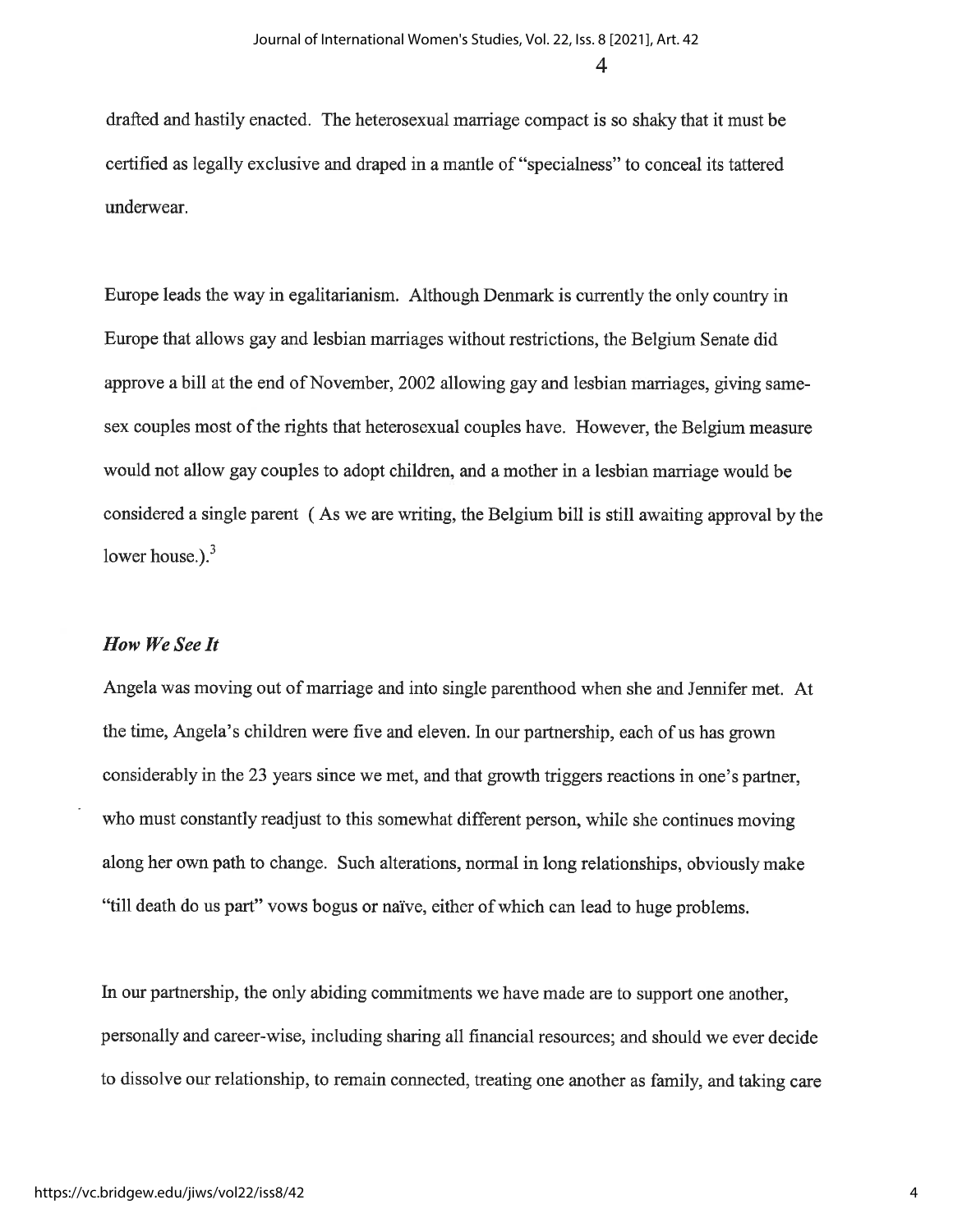drafted and hastily enacted. The heterosexual marriage compact is so shaky that it must be certified as legally exclusive and draped in a mantle of "specialness" to conceal its tattered underwear.

Europe leads the way in egalitarianism. Although Denmark is currently the only country in Europe that allows gay and lesbian marriages without restrictions, the Belgium Senate did approve a bill at the end of November, 2002 allowing gay and lesbian marriages, giving samesex couples most of the rights that heterosexual couples have. However, the Belgium measure would not allow gay couples to adopt children, and a mother in a lesbian marriage would be considered a single parent (As we are writing, the Belgium bill is still awaiting approval by the lower house.). $3$ 

#### How We See It

Angela was moving out of marriage and into single parenthood when she and Jennifer met. At the time, Angela's children were five and eleven. In our partnership, each of us has grown considerably in the 23 years since we met, and that growth triggers reactions in one's partner, who must constantly readjust to this somewhat different person, while she continues moving along her own path to change. Such alterations, normal in long relationships, obviously make "till death do us part" vows bogus or naïve, either of which can lead to huge problems.

In our partnership, the only abiding commitments we have made are to support one another, personally and career-wise, including sharing all financial resources; and should we ever decide to dissolve our relationship, to remain connected, treating one another as family, and taking care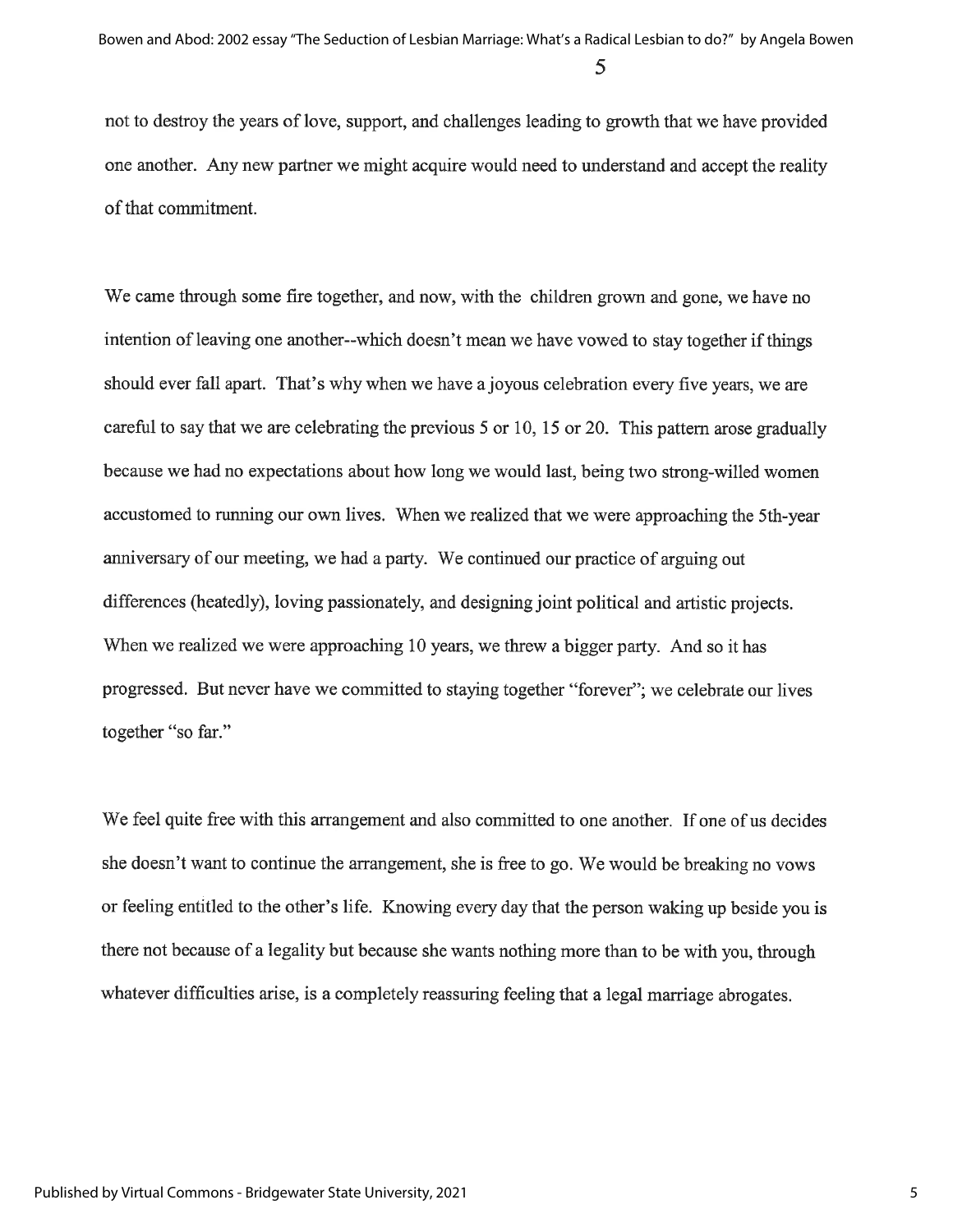not to destroy the years of love, support, and challenges leading to growth that we have provided one another. Any new partner we might acquire would need to understand and accept the reality of that commitment.

We came through some fire together, and now, with the children grown and gone, we have no intention of leaving one another--which doesn't mean we have vowed to stay together if things should ever fall apart. That's why when we have a joyous celebration every five years, we are careful to say that we are celebrating the previous 5 or 10, 15 or 20. This pattern arose gradually because we had no expectations about how long we would last, being two strong-willed women accustomed to running our own lives. When we realized that we were approaching the 5th-year anniversary of our meeting, we had a party. We continued our practice of arguing out differences (heatedly), loving passionately, and designing joint political and artistic projects. When we realized we were approaching 10 years, we threw a bigger party. And so it has progressed. But never have we committed to staying together "forever"; we celebrate our lives together "so far."

We feel quite free with this arrangement and also committed to one another. If one of us decides she doesn't want to continue the arrangement, she is free to go. We would be breaking no yows or feeling entitled to the other's life. Knowing every day that the person waking up beside you is there not because of a legality but because she wants nothing more than to be with you, through whatever difficulties arise, is a completely reassuring feeling that a legal marriage abrogates.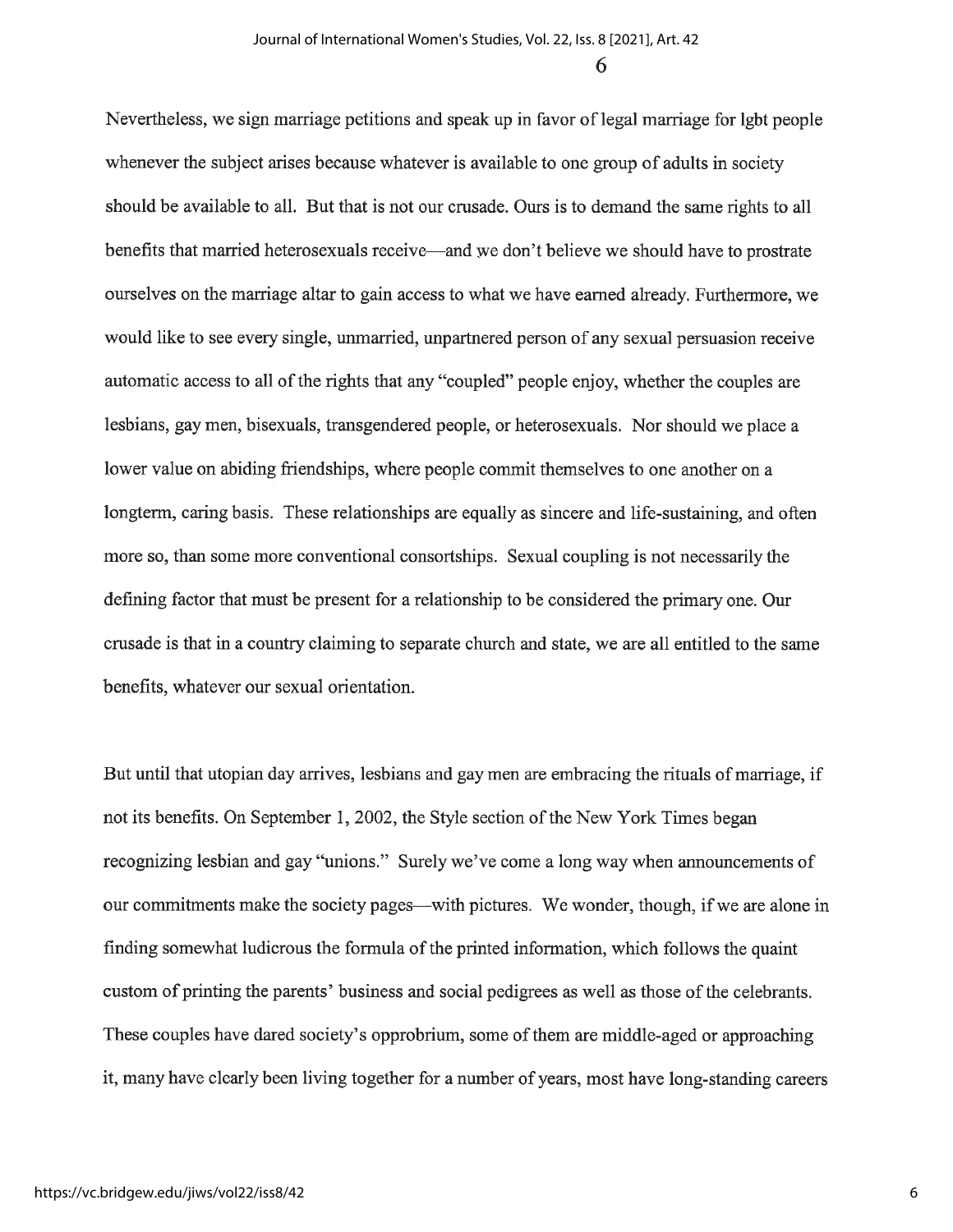Nevertheless, we sign marriage petitions and speak up in favor of legal marriage for lgbt people whenever the subject arises because whatever is available to one group of adults in society should be available to all. But that is not our crusade. Ours is to demand the same rights to all benefits that married heterosexuals receive—and we don't believe we should have to prostrate ourselves on the marriage altar to gain access to what we have earned already. Furthermore, we would like to see every single, unmarried, unpartnered person of any sexual persuasion receive automatic access to all of the rights that any "coupled" people enjoy, whether the couples are lesbians, gay men, bisexuals, transgendered people, or heterosexuals. Nor should we place a lower value on abiding friendships, where people commit themselves to one another on a longterm, caring basis. These relationships are equally as sincere and life-sustaining, and often more so, than some more conventional consortships. Sexual coupling is not necessarily the defining factor that must be present for a relationship to be considered the primary one. Our crusade is that in a country claiming to separate church and state, we are all entitled to the same benefits, whatever our sexual orientation.

But until that utopian day arrives, lesbians and gay men are embracing the rituals of marriage, if not its benefits. On September 1, 2002, the Style section of the New York Times began recognizing lesbian and gay "unions." Surely we've come a long way when announcements of our commitments make the society pages—with pictures. We wonder, though, if we are alone in finding somewhat ludicrous the formula of the printed information, which follows the quaint custom of printing the parents' business and social pedigrees as well as those of the celebrants. These couples have dared society's opprobrium, some of them are middle-aged or approaching it, many have clearly been living together for a number of years, most have long-standing careers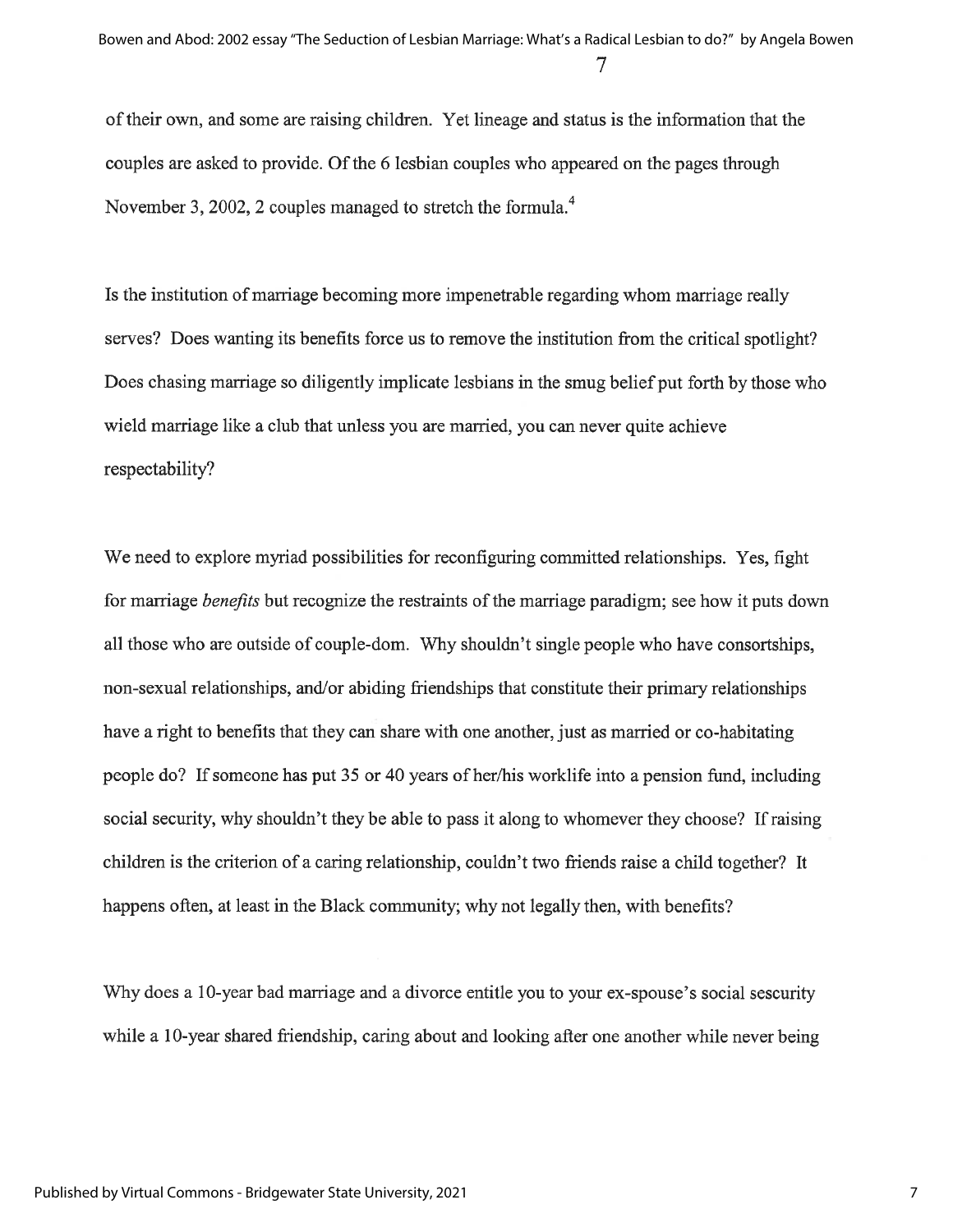of their own, and some are raising children. Yet lineage and status is the information that the couples are asked to provide. Of the 6 lesbian couples who appeared on the pages through November 3, 2002, 2 couples managed to stretch the formula.<sup>4</sup>

Is the institution of marriage becoming more impenetrable regarding whom marriage really serves? Does wanting its benefits force us to remove the institution from the critical spotlight? Does chasing marriage so diligently implicate lesbians in the smug belief put forth by those who wield marriage like a club that unless you are married, you can never quite achieve respectability?

We need to explore myriad possibilities for reconfiguring committed relationships. Yes, fight for marriage *benefits* but recognize the restraints of the marriage paradigm; see how it puts down all those who are outside of couple-dom. Why shouldn't single people who have consortships, non-sexual relationships, and/or abiding friendships that constitute their primary relationships have a right to benefits that they can share with one another, just as married or co-habitating people do? If someone has put 35 or 40 years of her/his worklife into a pension fund, including social security, why shouldn't they be able to pass it along to whomever they choose? If raising children is the criterion of a caring relationship, couldn't two friends raise a child together? It happens often, at least in the Black community; why not legally then, with benefits?

Why does a 10-year bad marriage and a divorce entitle you to your ex-spouse's social sescurity while a 10-year shared friendship, caring about and looking after one another while never being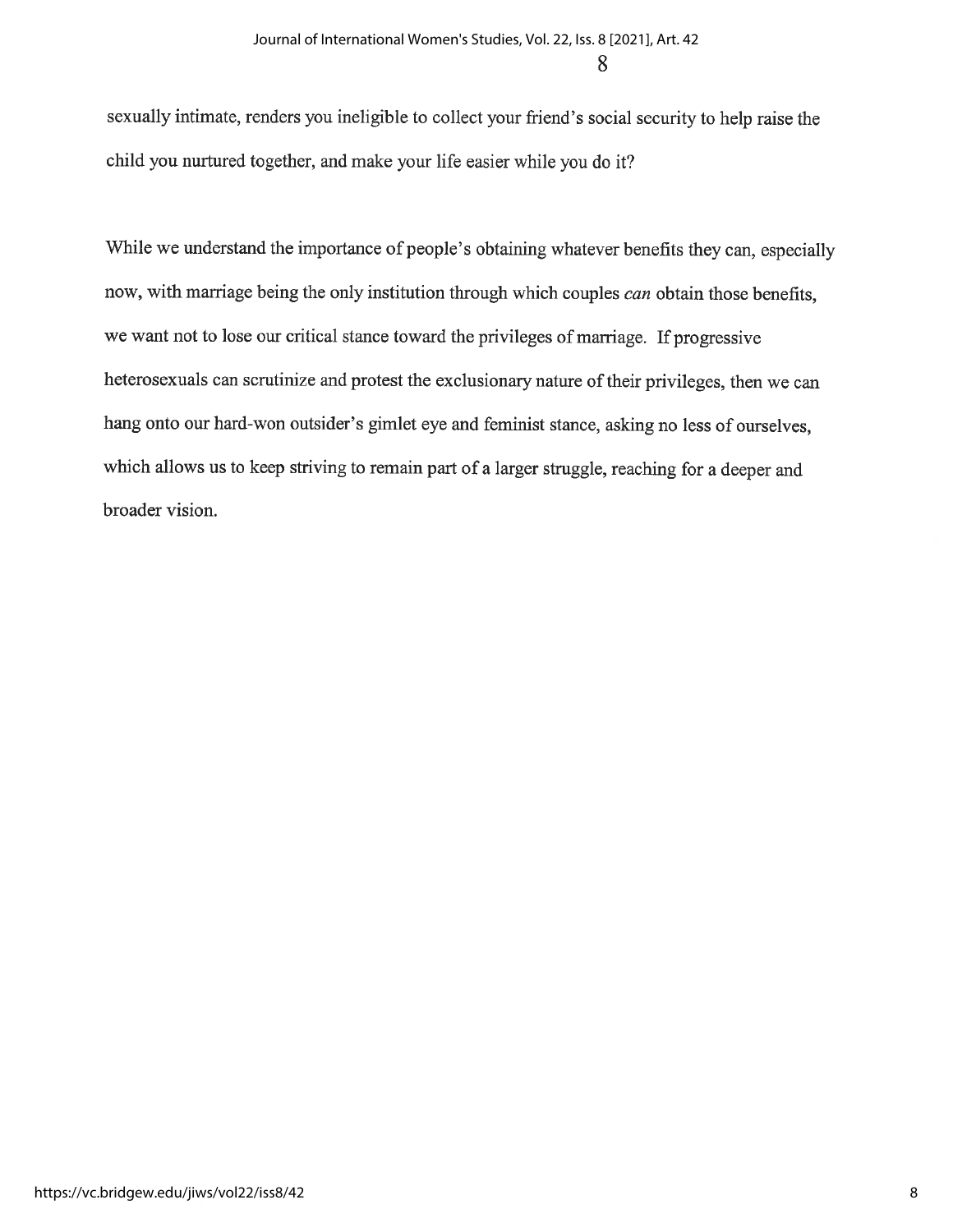sexually intimate, renders you ineligible to collect your friend's social security to help raise the child you nurtured together, and make your life easier while you do it?

While we understand the importance of people's obtaining whatever benefits they can, especially now, with marriage being the only institution through which couples can obtain those benefits, we want not to lose our critical stance toward the privileges of marriage. If progressive heterosexuals can scrutinize and protest the exclusionary nature of their privileges, then we can hang onto our hard-won outsider's gimlet eye and feminist stance, asking no less of ourselves, which allows us to keep striving to remain part of a larger struggle, reaching for a deeper and broader vision.